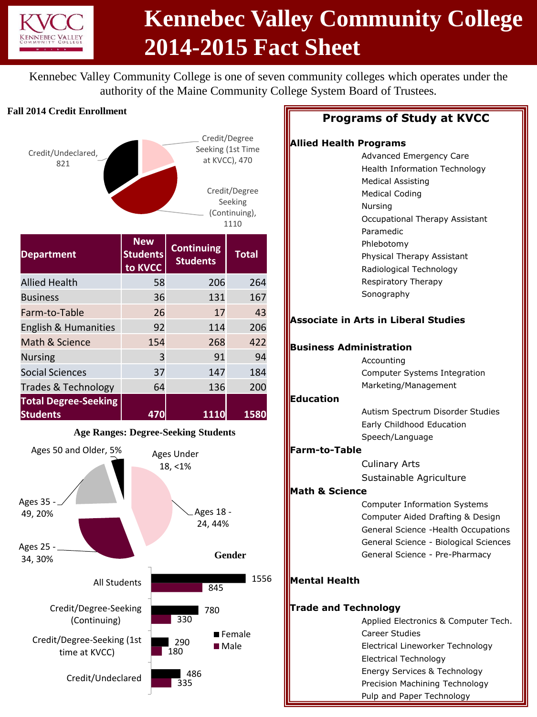

# **Kennebec Valley Community College 2014-2015 Fact Sheet**

Kennebec Valley Community College is one of seven community colleges which operates under the authority of the Maine Community College System Board of Trustees.

#### **Fall 2014 Credit Enrollment**



### **Programs of Study at KVCC**

### **Allied Health Programs**

|                             | . .<br>г,<br>ı vyı amıs                     |
|-----------------------------|---------------------------------------------|
|                             | Advanced Emergency Care                     |
|                             | <b>Health Information Technology</b>        |
|                             | <b>Medical Assisting</b>                    |
|                             | <b>Medical Coding</b>                       |
|                             | Nursing                                     |
|                             | Occupational Therapy Assistant              |
|                             | Paramedic                                   |
|                             | Phlebotomy                                  |
|                             | Physical Therapy Assistant                  |
|                             | Radiological Technology                     |
|                             | Respiratory Therapy                         |
|                             | Sonography                                  |
|                             |                                             |
|                             | <b>Associate in Arts in Liberal Studies</b> |
|                             |                                             |
|                             | <b>Business Administration</b>              |
|                             | Accounting                                  |
|                             | Computer Systems Integration                |
|                             | Marketing/Management                        |
| <b>Education</b>            |                                             |
|                             | Autism Spectrum Disorder Studies            |
|                             | Early Childhood Education                   |
|                             | Speech/Language                             |
| <b>Farm-to-Table</b>        |                                             |
|                             | <b>Culinary Arts</b>                        |
|                             | Sustainable Agriculture                     |
| <b>Math &amp; Science</b>   |                                             |
|                             | <b>Computer Information Systems</b>         |
|                             | Computer Aided Drafting & Design            |
|                             | General Science - Health Occupations        |
|                             | General Science - Biological Sciences       |
|                             | General Science - Pre-Pharmacy              |
| <b>Mental Health</b>        |                                             |
|                             |                                             |
| <b>Trade and Technology</b> |                                             |
|                             | Applied Electronics & Computer Tech.        |
|                             | <b>Career Studies</b>                       |
|                             | Electrical Lineworker Technology            |
|                             | <b>Electrical Technology</b>                |
|                             | Energy Services & Technology                |
|                             | Precision Machining Technology              |
|                             | Pulp and Paper Technology                   |